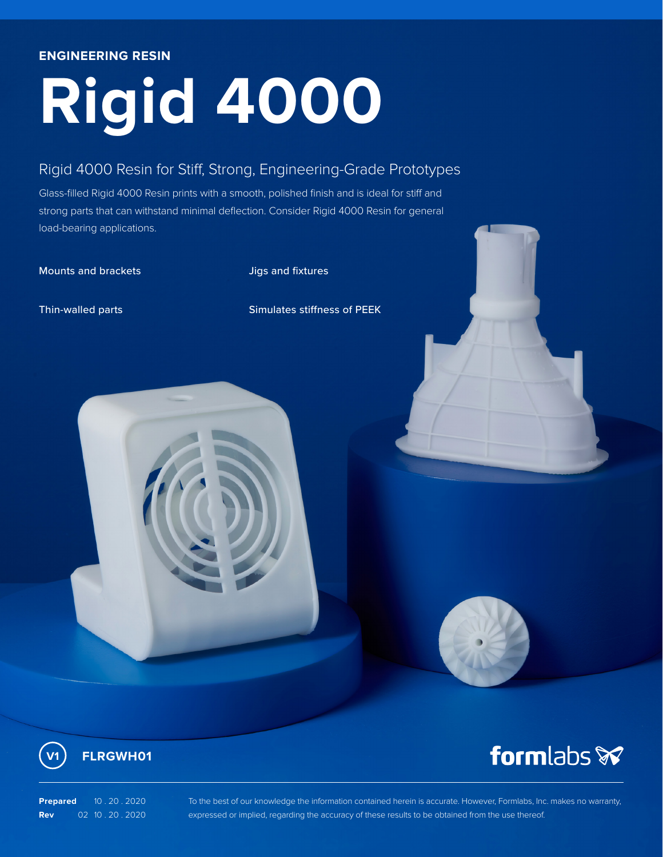## **ENGINEERING RESIN**

# **Rigid 4000**

# Rigid 4000 Resin for Stiff, Strong, Engineering-Grade Prototypes

Glass-filled Rigid 4000 Resin prints with a smooth, polished finish and is ideal for stiff and strong parts that can withstand minimal deflection. Consider Rigid 4000 Resin for general load-bearing applications.

Mounts and brackets and Jigs and fixtures

Thin-walled parts Simulates stiffness of PEEK





**Prepared** 10.20.2020 **Rev** 02 10 . 20 . 2020 To the best of our knowledge the information contained herein is accurate. However, Formlabs, Inc. makes no warranty, expressed or implied, regarding the accuracy of these results to be obtained from the use thereof.